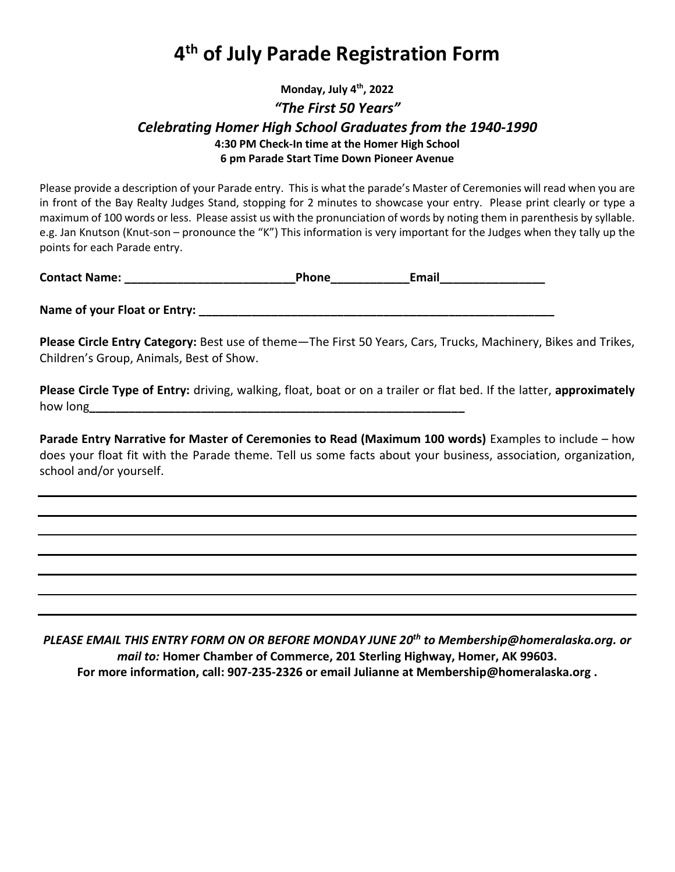# **4 th of July Parade Registration Form**

## **Monday, July 4th, 2022** *"The First 50 Years" Celebrating Homer High School Graduates from the 1940-1990* **4:30 PM Check-In time at the Homer High School 6 pm Parade Start Time Down Pioneer Avenue**

Please provide a description of your Parade entry. This is what the parade's Master of Ceremonies will read when you are in front of the Bay Realty Judges Stand, stopping for 2 minutes to showcase your entry. Please print clearly or type a maximum of 100 words or less. Please assist us with the pronunciation of words by noting them in parenthesis by syllable. e.g. Jan Knutson (Knut-son – pronounce the "K") This information is very important for the Judges when they tally up the points for each Parade entry.

| <b>Contact Name:</b> | Phone | Email |
|----------------------|-------|-------|
|                      |       |       |

**Name of your Float or Entry: \_\_\_\_\_\_\_\_\_\_\_\_\_\_\_\_\_\_\_\_\_\_\_\_\_\_\_\_\_\_\_\_\_\_\_\_\_\_\_\_\_\_\_\_\_\_\_\_\_\_\_\_\_\_**

**Please Circle Entry Category:** Best use of theme—The First 50 Years, Cars, Trucks, Machinery, Bikes and Trikes, Children's Group, Animals, Best of Show.

**Please Circle Type of Entry:** driving, walking, float, boat or on a trailer or flat bed. If the latter, **approximately** how long**\_\_\_\_\_\_\_\_\_\_\_\_\_\_\_\_\_\_\_\_\_\_\_\_\_\_\_\_\_\_\_\_\_\_\_\_\_\_\_\_\_\_\_\_\_\_\_\_\_\_\_\_\_\_\_\_\_**

**Parade Entry Narrative for Master of Ceremonies to Read (Maximum 100 words)** Examples to include – how does your float fit with the Parade theme. Tell us some facts about your business, association, organization, school and/or yourself.

*PLEASE EMAIL THIS ENTRY FORM ON OR BEFORE MONDAY JUNE 20 th to Membership@homeralaska.org. or mail to:* **Homer Chamber of Commerce, 201 Sterling Highway, Homer, AK 99603. For more information, call: 907-235-2326 or email Julianne at Membership@homeralaska.org .**